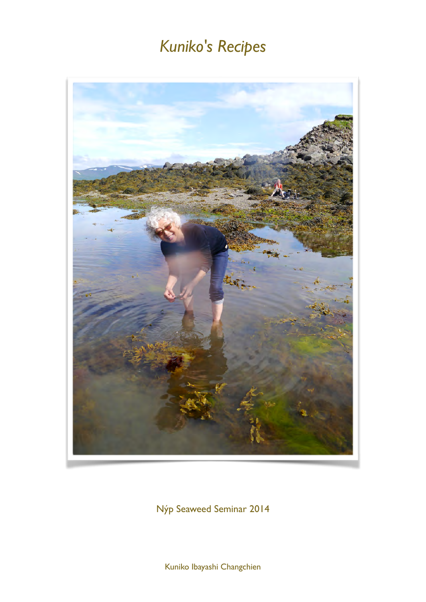

Nýp Seaweed Seminar 2014

Kuniko Ibayashi Changchien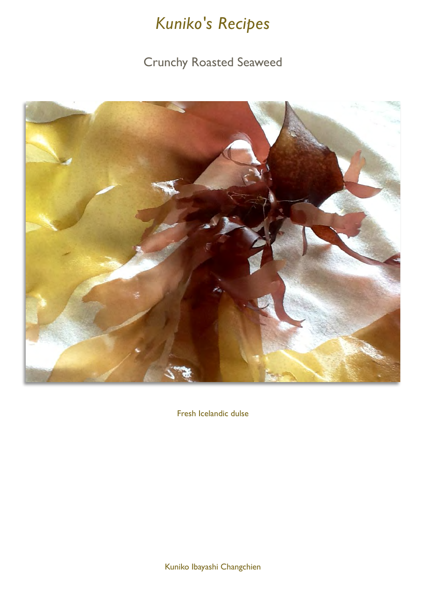### **Crunchy Roasted Seaweed**



Fresh Icelandic dulse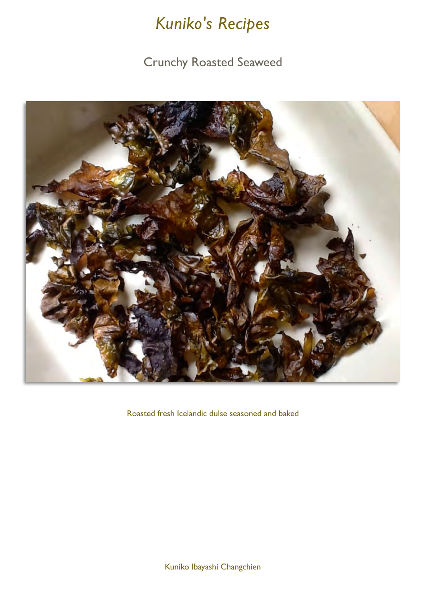### Crunchy Roasted Seaweed



Roasted fresh Icelandic dulse seasoned and baked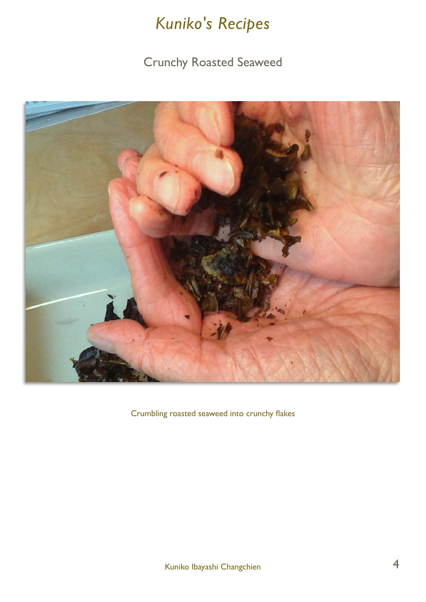### Crunchy Roasted Seaweed



Crumbling roasted seaweed into crunchy flakes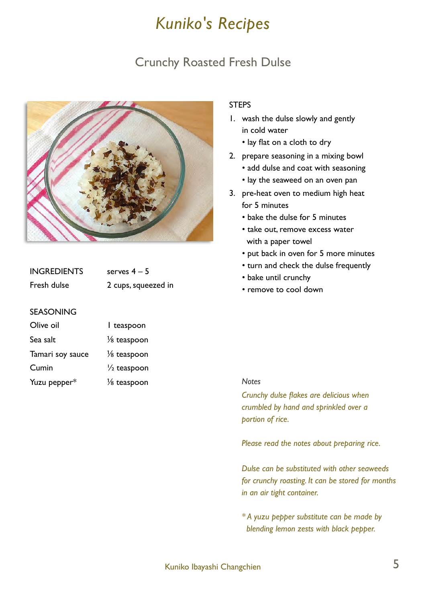### Crunchy Roasted Fresh Dulse



| <b>INGREDIENTS</b> | serves $4-5$        |
|--------------------|---------------------|
| Fresh dulse        | 2 cups, squeezed in |

#### SEASONING

| Olive oil        | I teaspoon             |
|------------------|------------------------|
| Sea salt         | $\frac{1}{8}$ teaspoon |
| Tamari soy sauce | $\frac{1}{8}$ teaspoon |
| Cumin            | $\frac{1}{2}$ teaspoon |
| Yuzu pepper*     | $\frac{1}{8}$ teaspoon |

#### **STEPS**

- 1. wash the dulse slowly and gently in cold water
	- lay flat on a cloth to dry
- 2. prepare seasoning in a mixing bowl
	- add dulse and coat with seasoning
	- lay the seaweed on an oven pan
- 3. pre-heat oven to medium high heat for 5 minutes
	- bake the dulse for 5 minutes
	- take out, remove excess water with a paper towel
	- put back in oven for 5 more minutes
	- turn and check the dulse frequently
	- bake until crunchy
	- remove to cool down

#### *Notes*

*Crunchy dulse flakes are delicious when crumbled by hand and sprinkled over a portion of rice.* 

*Please read the notes about preparing rice.*

*Dulse can be substituted with other seaweeds for crunchy roasting. It can be stored for months in an air tight container.* 

*\* A yuzu pepper substitute can be made by blending lemon zests with black pepper.*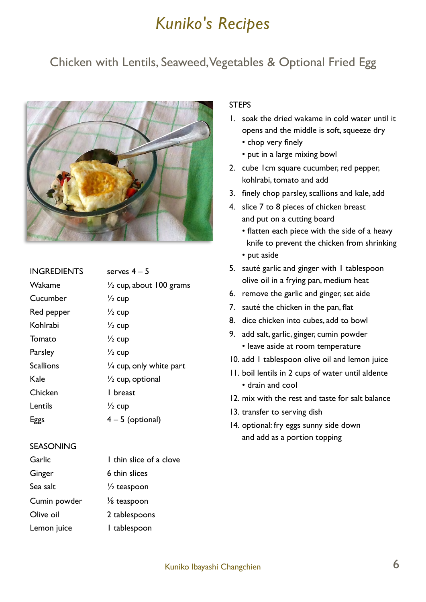### Chicken with Lentils, Seaweed, Vegetables & Optional Fried Egg



| <b>INGREDIENTS</b> | serves $4-5$                       |
|--------------------|------------------------------------|
| Wakame             | $\frac{1}{2}$ cup, about 100 grams |
| Cucumber           | $\frac{1}{2}$ cup                  |
| Red pepper         | $\frac{1}{2}$ cup                  |
| Kohlrabi           | $\frac{1}{2}$ cup                  |
| Tomato             | $\frac{1}{2}$ cup                  |
| Parsley            | $\frac{1}{2}$ cup                  |
| <b>Scallions</b>   | $\frac{1}{4}$ cup, only white part |
| Kale               | $\frac{1}{2}$ cup, optional        |
| Chicken            | l breast                           |
| Lentils            | $\frac{1}{2}$ cup                  |
| Eggs               | $4 - 5$ (optional)                 |

#### SEASONING

| Garlic       | I thin slice of a clove |
|--------------|-------------------------|
| Ginger       | 6 thin slices           |
| Sea salt     | $\frac{1}{2}$ teaspoon  |
| Cumin powder | $\frac{1}{8}$ teaspoon  |
| Olive oil    | 2 tablespoons           |
| Lemon juice  | I tablespoon            |

#### **STEPS**

- 1. soak the dried wakame in cold water until it opens and the middle is soft, squeeze dry
	- chop very finely
	- put in a large mixing bowl
- 2. cube 1cm square cucumber, red pepper, kohlrabi, tomato and add
- 3. finely chop parsley, scallions and kale, add
- 4. slice 7 to 8 pieces of chicken breast and put on a cutting board
	- flatten each piece with the side of a heavy knife to prevent the chicken from shrinking
	- put aside
- 5. sauté garlic and ginger with 1 tablespoon olive oil in a frying pan, medium heat
- 6. remove the garlic and ginger, set aide
- 7. sauté the chicken in the pan, flat
- 8. dice chicken into cubes, add to bowl
- 9. add salt, garlic, ginger, cumin powder • leave aside at room temperature
- 10. add 1 tablespoon olive oil and lemon juice
- 11. boil lentils in 2 cups of water until aldente • drain and cool
- 12. mix with the rest and taste for salt balance
- 13. transfer to serving dish
- 14. optional: fry eggs sunny side down and add as a portion topping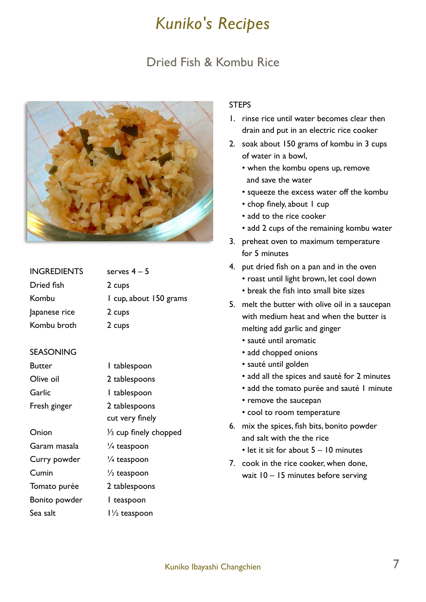### Dried Fish & Kombu Rice



| <b>INGREDIENTS</b> | serves $4-5$           |
|--------------------|------------------------|
| Dried fish         | 2 cups                 |
| Kombu              | I cup, about 150 grams |
| Japanese rice      | 2 cups                 |
| Kombu broth        | 2 cups                 |
|                    |                        |

#### **SEASONING**

| Butter        | I tablespoon                     |
|---------------|----------------------------------|
| Olive oil     | 2 tablespoons                    |
| Garlic        | I tablespoon                     |
| Fresh ginger  | 2 tablespoons                    |
|               | cut very finely                  |
| Onion         | $\frac{1}{3}$ cup finely chopped |
| Garam masala  | 1/ <sub>4</sub> teaspoon         |
| Curry powder  | 1/ <sub>4</sub> teaspoon         |
| Cumin         | $\frac{1}{2}$ teaspoon           |
| Tomato purée  | 2 tablespoons                    |
| Bonito powder | I teaspoon                       |
| Sea salt      | $1\frac{1}{2}$ teaspoon          |

#### **STEPS**

- 1. rinse rice until water becomes clear then drain and put in an electric rice cooker
- 2. soak about 150 grams of kombu in 3 cups of water in a bowl,
	- when the kombu opens up, remove and save the water
	- squeeze the excess water off the kombu
	- chop finely, about I cup
	- add to the rice cooker
	- add 2 cups of the remaining kombu water
- 3. preheat oven to maximum temperature for 5 minutes
- 4. put dried fish on a pan and in the oven
	- roast until light brown, let cool down
	- break the fish into small bite sizes
- 5. melt the butter with olive oil in a saucepan with medium heat and when the butter is melting add garlic and ginger
	- sauté until aromatic
	- add chopped onions
	- sauté until golden
	- add all the spices and sauté for 2 minutes
	- add the tomato purée and sauté I minute
	- remove the saucepan
	- cool to room temperature
- 6. mix the spices, fish bits, bonito powder and salt with the the rice
	- let it sit for about 5 10 minutes
- 7. cook in the rice cooker, when done, wait 10 – 15 minutes before serving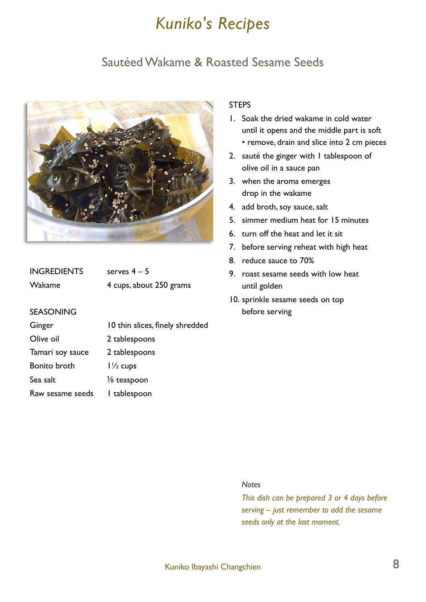### Sautéed Wakame & Roasted Sesame Seeds



| <b>INGREDIENTS</b> | serves $4-5$            |
|--------------------|-------------------------|
| Wakame             | 4 cups, about 250 grams |

#### SEASONING

| 10 thin slices, finely shredded |
|---------------------------------|
| 2 tablespoons                   |
| 2 tablespoons                   |
| $1\frac{1}{2}$ cups             |
| $\frac{1}{8}$ teaspoon          |
| I tablespoon                    |
|                                 |

#### **STEPS**

- 1. Soak the dried wakame in cold water until it opens and the middle part is soft
	- remove, drain and slice into 2 cm pieces
- 2. sauté the ginger with 1 tablespoon of olive oil in a sauce pan
- 3. when the aroma emerges drop in the wakame
- 4. add broth, soy sauce, salt
- 5. simmer medium heat for 15 minutes
- 6. turn off the heat and let it sit
- 7. before serving reheat with high heat
- 8. reduce sauce to 70%
- 9. roast sesame seeds with low heat until golden
- 10. sprinkle sesame seeds on top before serving

#### *Notes*

*This dish can be prepared 3 or 4 days before serving – just remember to add the sesame seeds only at the last moment.*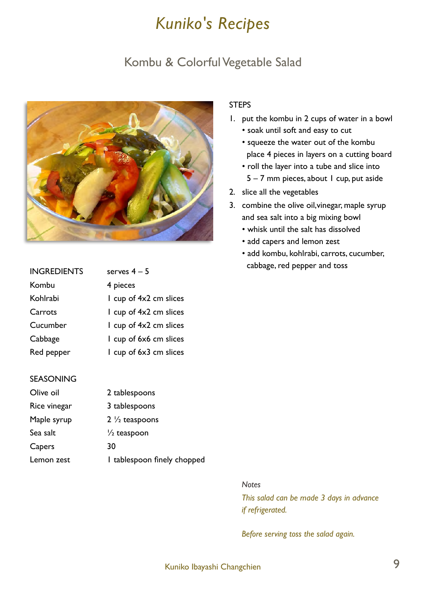### Kombu & Colorful Vegetable Salad



| <b>INGREDIENTS</b> | serves $4-5$             |
|--------------------|--------------------------|
| Kombu              | 4 pieces                 |
| Kohlrabi           | I cup of $4x2$ cm slices |
| Carrots            | I cup of $4x2$ cm slices |
| Cucumber           | I cup of $4x2$ cm slices |
| Cabbage            | I cup of 6x6 cm slices   |
| Red pepper         | I cup of 6x3 cm slices   |

#### SEASONING

| Olive oil    | 2 tablespoons               |
|--------------|-----------------------------|
| Rice vinegar | 3 tablespoons               |
| Maple syrup  | $2\frac{1}{2}$ teaspoons    |
| Sea salt     | $\frac{1}{2}$ teaspoon      |
| Capers       | 30                          |
| Lemon zest   | I tablespoon finely chopped |

#### **STEPS**

- 1. put the kombu in 2 cups of water in a bowl
	- soak until soft and easy to cut
	- squeeze the water out of the kombu place 4 pieces in layers on a cutting board
	- roll the layer into a tube and slice into 5 – 7 mm pieces, about 1 cup, put aside
- 2. slice all the vegetables
- 3. combine the olive oil,vinegar, maple syrup and sea salt into a big mixing bowl
	- whisk until the salt has dissolved
	- add capers and lemon zest
	- add kombu, kohlrabi, carrots, cucumber, cabbage, red pepper and toss

#### *Notes*

*This salad can be made 3 days in advance if refrigerated.* 

*Before serving toss the salad again.*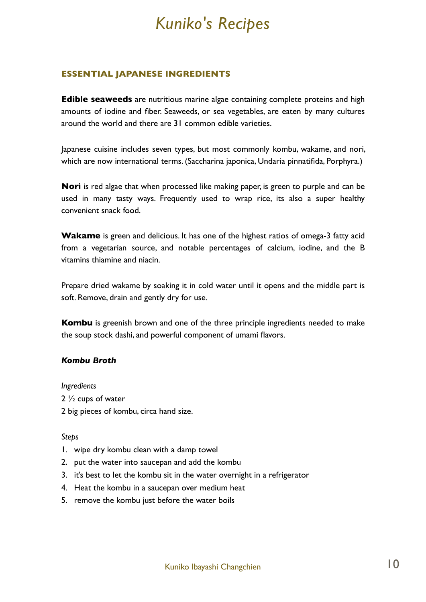#### **ESSENTIAL JAPANESE INGREDIENTS**

**Edible seaweeds** are nutritious marine algae containing complete proteins and high amounts of iodine and fiber. Seaweeds, or sea vegetables, are eaten by many cultures around the world and there are 31 common edible varieties.

Japanese cuisine includes seven types, but most commonly kombu, wakame, and nori, which are now international terms. (Saccharina japonica, Undaria pinnatifida, Porphyra.)

**Nori** is red algae that when processed like making paper, is green to purple and can be used in many tasty ways. Frequently used to wrap rice, its also a super healthy convenient snack food.

**Wakame** is green and delicious. It has one of the highest ratios of omega-3 fatty acid from a vegetarian source, and notable percentages of calcium, iodine, and the B vitamins thiamine and niacin.

Prepare dried wakame by soaking it in cold water until it opens and the middle part is soft. Remove, drain and gently dry for use.

**Kombu** is greenish brown and one of the three principle ingredients needed to make the soup stock dashi, and powerful component of umami flavors.

#### *Kombu Broth*

#### *Ingredients*

- 2 ½ cups of water
- 2 big pieces of kombu, circa hand size.

#### *Steps*

- 1. wipe dry kombu clean with a damp towel
- 2. put the water into saucepan and add the kombu
- 3. it's best to let the kombu sit in the water overnight in a refrigerator
- 4. Heat the kombu in a saucepan over medium heat
- 5. remove the kombu just before the water boils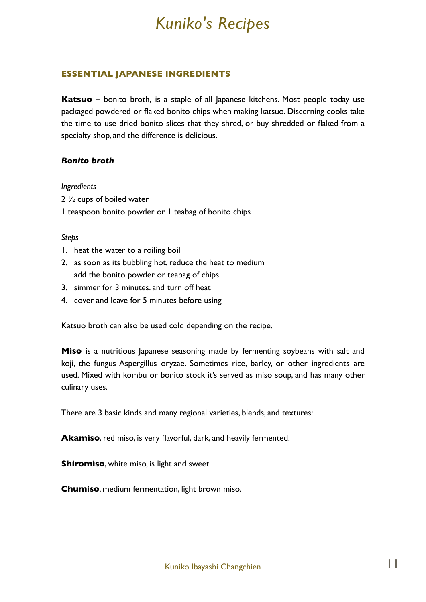#### **ESSENTIAL JAPANESE INGREDIENTS**

**Katsuo –** bonito broth, is a staple of all Japanese kitchens. Most people today use packaged powdered or flaked bonito chips when making katsuo. Discerning cooks take the time to use dried bonito slices that they shred, or buy shredded or flaked from a specialty shop, and the difference is delicious.

#### *Bonito broth*

#### *Ingredients*

- 2 ½ cups of boiled water
- 1 teaspoon bonito powder or 1 teabag of bonito chips

#### *Steps*

- 1. heat the water to a roiling boil
- 2. as soon as its bubbling hot, reduce the heat to medium add the bonito powder or teabag of chips
- 3. simmer for 3 minutes. and turn off heat
- 4. cover and leave for 5 minutes before using

Katsuo broth can also be used cold depending on the recipe.

**Miso** is a nutritious Japanese seasoning made by fermenting soybeans with salt and koji, the fungus Aspergillus oryzae. Sometimes rice, barley, or other ingredients are used. Mixed with kombu or bonito stock it's served as miso soup, and has many other culinary uses.

There are 3 basic kinds and many regional varieties, blends, and textures:

**Akamiso**, red miso, is very flavorful, dark, and heavily fermented.

**Shiromiso**, white miso, is light and sweet.

**Chumiso**, medium fermentation, light brown miso.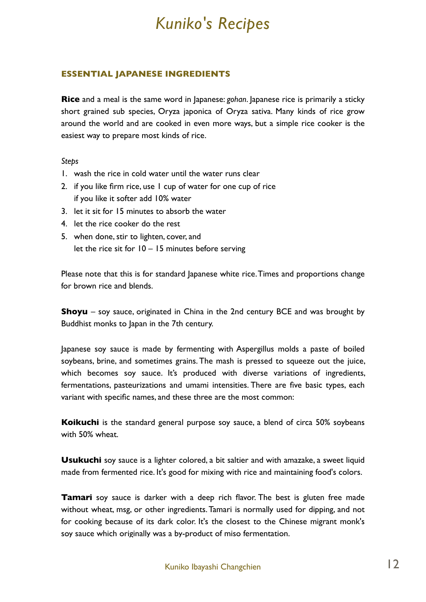#### **ESSENTIAL JAPANESE INGREDIENTS**

**Rice** and a meal is the same word in Japanese: *gohan*. Japanese rice is primarily a sticky short grained sub species, Oryza japonica of Oryza sativa. Many kinds of rice grow around the world and are cooked in even more ways, but a simple rice cooker is the easiest way to prepare most kinds of rice.

*Steps*

- 1. wash the rice in cold water until the water runs clear
- 2. if you like firm rice, use 1 cup of water for one cup of rice if you like it softer add 10% water
- 3. let it sit for 15 minutes to absorb the water
- 4. let the rice cooker do the rest
- 5. when done, stir to lighten, cover, and let the rice sit for 10 – 15 minutes before serving

Please note that this is for standard Japanese white rice. Times and proportions change for brown rice and blends.

**Shoyu** – soy sauce, originated in China in the 2nd century BCE and was brought by Buddhist monks to Japan in the 7th century.

Japanese soy sauce is made by fermenting with Aspergillus molds a paste of boiled soybeans, brine, and sometimes grains. The mash is pressed to squeeze out the juice, which becomes soy sauce. It's produced with diverse variations of ingredients, fermentations, pasteurizations and umami intensities. There are five basic types, each variant with specific names, and these three are the most common:

**Koikuchi** is the standard general purpose soy sauce, a blend of circa 50% soybeans with 50% wheat.

**Usukuchi** soy sauce is a lighter colored, a bit saltier and with amazake, a sweet liquid made from fermented rice. It's good for mixing with rice and maintaining food's colors.

**Tamari** soy sauce is darker with a deep rich flavor. The best is gluten free made without wheat, msg, or other ingredients. Tamari is normally used for dipping, and not for cooking because of its dark color. It's the closest to the Chinese migrant monk's soy sauce which originally was a by-product of miso fermentation.